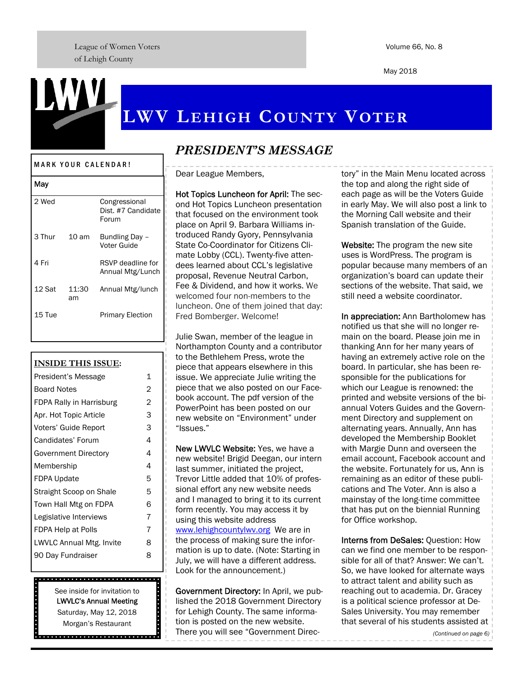League of Women Voters of Lehigh County

May 2018

# **LWV LEHIGH COUNTY VOTER**

#### MARK YOUR CALENDAR!

| May    |             |                                              |
|--------|-------------|----------------------------------------------|
| 2 Wed  |             | Congressional<br>Dist. #7 Candidate<br>Forum |
| 3 Thur | - 10 am     | Bundling Day -<br>Voter Guide                |
| 4 Fri  |             | RSVP deadline for<br>Annual Mtg/Lunch        |
| 12 Sat | 11:30<br>am | Annual Mtg/lunch                             |
| 15 Tue |             | <b>Primary Election</b>                      |

#### **INSIDE THIS ISSUE:**

| President's Message      |   |  |
|--------------------------|---|--|
| <b>Board Notes</b>       |   |  |
| FDPA Rally in Harrisburg |   |  |
| Apr. Hot Topic Article   | 3 |  |
| Voters' Guide Report     | 3 |  |
| Candidates' Forum        | 4 |  |
| Government Directory     | 4 |  |
| Membership               | 4 |  |
| FDPA Update              | 5 |  |
| Straight Scoop on Shale  | 5 |  |
| Town Hall Mtg on FDPA    | 6 |  |
| Legislative Interviews   | 7 |  |
| FDPA Help at Polls       | 7 |  |
| LWVLC Annual Mtg. Invite |   |  |
| 90 Day Fundraiser        |   |  |
|                          |   |  |

# 

See inside for invitation to LWVLC's Annual Meeting Saturday, May 12, 2018 Morgan's Restaurant

**...........** 

# *PRESIDENT'S MESSAGE*

Dear League Members,

Hot Topics Luncheon for April: The second Hot Topics Luncheon presentation that focused on the environment took place on April 9. Barbara Williams introduced Randy Gyory, Pennsylvania State Co-Coordinator for Citizens Climate Lobby (CCL). Twenty-five attendees learned about CCL's legislative proposal, Revenue Neutral Carbon, Fee & Dividend, and how it works. We welcomed four non-members to the luncheon. One of them joined that day: Fred Bomberger. Welcome!

Julie Swan, member of the league in Northampton County and a contributor to the Bethlehem Press, wrote the piece that appears elsewhere in this issue. We appreciate Julie writing the piece that we also posted on our Facebook account. The pdf version of the PowerPoint has been posted on our new website on "Environment" under "Issues."

New LWVLC Website: Yes, we have a new website! Brigid Deegan, our intern last summer, initiated the project, Trevor Little added that 10% of professional effort any new website needs and I managed to bring it to its current form recently. You may access it by using this website address www.lehighcountylwv.org We are in the process of making sure the information is up to date. (Note: Starting in July, we will have a different address. Look for the announcement.)

Government Directory: In April, we published the 2018 Government Directory for Lehigh County. The same information is posted on the new website. There you will see "Government Directory" in the Main Menu located across the top and along the right side of each page as will be the Voters Guide in early May. We will also post a link to the Morning Call website and their Spanish translation of the Guide.

Website: The program the new site uses is WordPress. The program is popular because many members of an organization's board can update their sections of the website. That said, we still need a website coordinator.

In appreciation: Ann Bartholomew has notified us that she will no longer remain on the board. Please join me in thanking Ann for her many years of having an extremely active role on the board. In particular, she has been responsible for the publications for which our League is renowned: the printed and website versions of the biannual Voters Guides and the Government Directory and supplement on alternating years. Annually, Ann has developed the Membership Booklet with Margie Dunn and overseen the email account, Facebook account and the website. Fortunately for us, Ann is remaining as an editor of these publications and The Voter. Ann is also a mainstay of the long-time committee that has put on the biennial Running for Office workshop.

Interns from DeSales: Question: How can we find one member to be responsible for all of that? Answer: We can't. So, we have looked for alternate ways to attract talent and ability such as reaching out to academia. Dr. Gracey is a political science professor at De-Sales University. You may remember that several of his students assisted at

*(Continued on page 6)*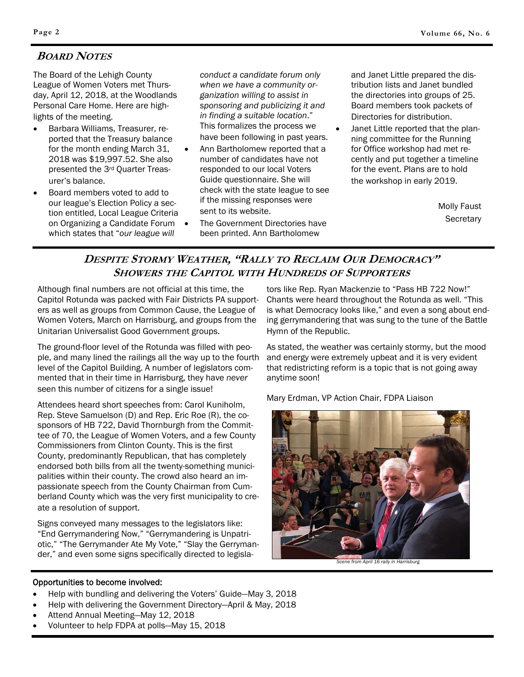## **BOARD NOTES**

The Board of the Lehigh County League of Women Voters met Thursday, April 12, 2018, at the Woodlands Personal Care Home. Here are highlights of the meeting.

- Barbara Williams, Treasurer, reported that the Treasury balance for the month ending March 31, 2018 was \$19,997.52. She also presented the 3rd Quarter Treasurer's balance.
- Board members voted to add to our league's Election Policy a section entitled, Local League Criteria on Organizing a Candidate Forum which states that "*our league will*

*conduct a candidate forum only when we have a community organization willing to assist in sponsoring and publicizing it and in finding a suitable location*." This formalizes the process we have been following in past years.

- Ann Bartholomew reported that a number of candidates have not responded to our local Voters Guide questionnaire. She will check with the state league to see if the missing responses were sent to its website.
- The Government Directories have been printed. Ann Bartholomew

and Janet Little prepared the distribution lists and Janet bundled the directories into groups of 25. Board members took packets of Directories for distribution.

 Janet Little reported that the planning committee for the Running for Office workshop had met recently and put together a timeline for the event. Plans are to hold the workshop in early 2019.

> Molly Faust **Secretary**

## **DESPITE STORMY WEATHER, "RALLY TO RECLAIM OUR DEMOCRACY" SHOWERS THE CAPITOL WITH HUNDREDS OF SUPPORTERS**

Although final numbers are not official at this time, the Capitol Rotunda was packed with Fair Districts PA supporters as well as groups from Common Cause, the League of Women Voters, March on Harrisburg, and groups from the Unitarian Universalist Good Government groups.

The ground-floor level of the Rotunda was filled with people, and many lined the railings all the way up to the fourth level of the Capitol Building. A number of legislators commented that in their time in Harrisburg, they have *never* seen this number of citizens for a single issue!

Attendees heard short speeches from: Carol Kuniholm, Rep. Steve Samuelson (D) and Rep. Eric Roe (R), the cosponsors of HB 722, David Thornburgh from the Committee of 70, the League of Women Voters, and a few County Commissioners from Clinton County. This is the first County, predominantly Republican, that has completely endorsed both bills from all the twenty-something municipalities within their county. The crowd also heard an impassionate speech from the County Chairman from Cumberland County which was the very first municipality to create a resolution of support.

Signs conveyed many messages to the legislators like: "End Gerrymandering Now," "Gerrymandering is Unpatriotic," "The Gerrymander Ate My Vote," "Slay the Gerrymander," and even some signs specifically directed to legisla-

tors like Rep. Ryan Mackenzie to "Pass HB 722 Now!" Chants were heard throughout the Rotunda as well. "This is what Democracy looks like," and even a song about ending gerrymandering that was sung to the tune of the Battle Hymn of the Republic.

As stated, the weather was certainly stormy, but the mood and energy were extremely upbeat and it is very evident that redistricting reform is a topic that is not going away anytime soon!

Mary Erdman, VP Action Chair, FDPA Liaison



*Scene from April 16 rally in Harrisburg* 

#### Opportunities to become involved:

- Help with bundling and delivering the Voters' Guide—May 3, 2018
- Help with delivering the Government Directory—April & May, 2018
- Attend Annual Meeting—May 12, 2018
- Volunteer to help FDPA at polls—May 15, 2018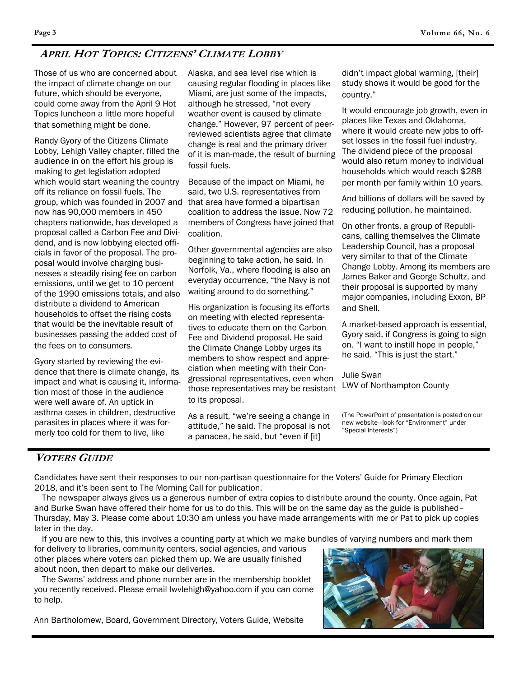# **APRIL HOT TOPICS: CITIZENS' CLIMATE LOBBY**

Those of us who are concerned about the impact of climate change on our future, which should be everyone, could come away from the April 9 Hot Topics luncheon a little more hopeful that something might be done.

Randy Gyory of the Citizens Climate Lobby, Lehigh Valley chapter, filled the audience in on the effort his group is making to get legislation adopted which would start weaning the country off its reliance on fossil fuels. The group, which was founded in 2007 and now has 90,000 members in 450 chapters nationwide, has developed a proposal called a Carbon Fee and Dividend, and is now lobbying elected officials in favor of the proposal. The proposal would involve charging businesses a steadily rising fee on carbon emissions, until we get to 10 percent of the 1990 emissions totals, and also distribute a dividend to American households to offset the rising costs that would be the inevitable result of businesses passing the added cost of the fees on to consumers.

Gyory started by reviewing the evidence that there is climate change, its impact and what is causing it, information most of those in the audience were well aware of. An uptick in asthma cases in children, destructive parasites in places where it was formerly too cold for them to live, like

Alaska, and sea level rise which is causing regular flooding in places like Miami, are just some of the impacts, although he stressed, "not every weather event is caused by climate change." However, 97 percent of peerreviewed scientists agree that climate change is real and the primary driver of it is man-made, the result of burning fossil fuels.

Because of the impact on Miami, he said, two U.S. representatives from that area have formed a bipartisan coalition to address the issue. Now 72 members of Congress have joined that coalition.

Other governmental agencies are also beginning to take action, he said. In Norfolk, Va., where flooding is also an everyday occurrence, "the Navy is not waiting around to do something."

His organization is focusing its efforts on meeting with elected representatives to educate them on the Carbon Fee and Dividend proposal. He said the Climate Change Lobby urges its members to show respect and appreciation when meeting with their Congressional representatives, even when those representatives may be resistant to its proposal.

As a result, "we're seeing a change in attitude," he said. The proposal is not a panacea, he said, but "even if [it]

didn't impact global warming, [their] study shows it would be good for the country."

It would encourage job growth, even in places like Texas and Oklahoma, where it would create new jobs to offset losses in the fossil fuel industry. The dividend piece of the proposal would also return money to individual households which would reach \$288 per month per family within 10 years.

And billions of dollars will be saved by reducing pollution, he maintained.

On other fronts, a group of Republicans, calling themselves the Climate Leadership Council, has a proposal very similar to that of the Climate Change Lobby. Among its members are James Baker and George Schultz, and their proposal is supported by many major companies, including Exxon, BP and Shell.

A market-based approach is essential, Gyory said, if Congress is going to sign on. "I want to instill hope in people," he said. "This is just the start."

Julie Swan LWV of Northampton County

(The PowerPoint of presentation is posted on our new website—look for "Environment" under "Special Interests")

## **VOTERS GUIDE**

Candidates have sent their responses to our non-partisan questionnaire for the Voters' Guide for Primary Election 2018, and it's been sent to The Morning Call for publication.

 The newspaper always gives us a generous number of extra copies to distribute around the county. Once again, Pat and Burke Swan have offered their home for us to do this. This will be on the same day as the guide is published– Thursday, May 3. Please come about 10:30 am unless you have made arrangements with me or Pat to pick up copies later in the day.

If you are new to this, this involves a counting party at which we make bundles of varying numbers and mark them

for delivery to libraries, community centers, social agencies, and various other places where voters can picked them up. We are usually finished about noon, then depart to make our deliveries.

 The Swans' address and phone number are in the membership booklet you recently received. Please email lwvlehigh@yahoo.com if you can come to help.

Ann Bartholomew, Board, Government Directory, Voters Guide, Website

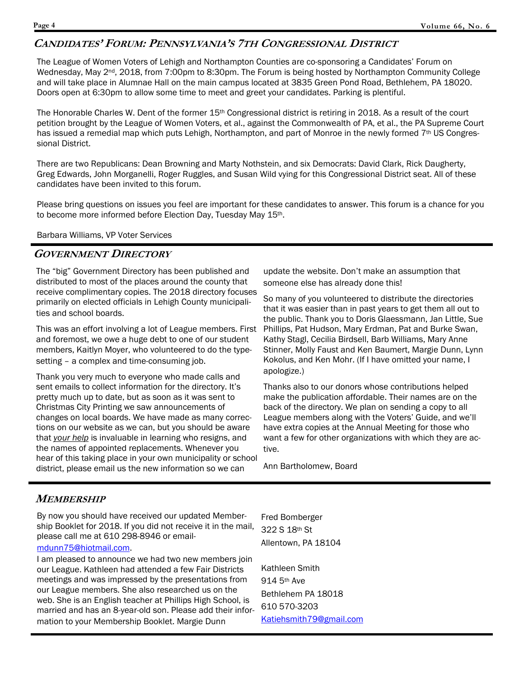## **CANDIDATES' FORUM: PENNSYLVANIA'S 7TH CONGRESSIONAL DISTRICT**

The League of Women Voters of Lehigh and Northampton Counties are co-sponsoring a Candidates' Forum on Wednesday, May 2<sup>nd</sup>, 2018, from 7:00pm to 8:30pm. The Forum is being hosted by Northampton Community College and will take place in Alumnae Hall on the main campus located at 3835 Green Pond Road, Bethlehem, PA 18020. Doors open at 6:30pm to allow some time to meet and greet your candidates. Parking is plentiful.

The Honorable Charles W. Dent of the former 15<sup>th</sup> Congressional district is retiring in 2018. As a result of the court petition brought by the League of Women Voters, et al., against the Commonwealth of PA, et al., the PA Supreme Court has issued a remedial map which puts Lehigh, Northampton, and part of Monroe in the newly formed 7<sup>th</sup> US Congressional District.

There are two Republicans: Dean Browning and Marty Nothstein, and six Democrats: David Clark, Rick Daugherty, Greg Edwards, John Morganelli, Roger Ruggles, and Susan Wild vying for this Congressional District seat. All of these candidates have been invited to this forum.

Please bring questions on issues you feel are important for these candidates to answer. This forum is a chance for you to become more informed before Election Day, Tuesday May 15th.

Barbara Williams, VP Voter Services

## **GOVERNMENT DIRECTORY**

The "big" Government Directory has been published and distributed to most of the places around the county that receive complimentary copies. The 2018 directory focuses primarily on elected officials in Lehigh County municipalities and school boards.

This was an effort involving a lot of League members. First and foremost, we owe a huge debt to one of our student members, Kaitlyn Moyer, who volunteered to do the typesetting – a complex and time-consuming job.

Thank you very much to everyone who made calls and sent emails to collect information for the directory. It's pretty much up to date, but as soon as it was sent to Christmas City Printing we saw announcements of changes on local boards. We have made as many corrections on our website as we can, but you should be aware that *your help* is invaluable in learning who resigns, and the names of appointed replacements. Whenever you hear of this taking place in your own municipality or school district, please email us the new information so we can

update the website. Don't make an assumption that someone else has already done this!

So many of you volunteered to distribute the directories that it was easier than in past years to get them all out to the public. Thank you to Doris Glaessmann, Jan Little, Sue Phillips, Pat Hudson, Mary Erdman, Pat and Burke Swan, Kathy Stagl, Cecilia Birdsell, Barb Williams, Mary Anne Stinner, Molly Faust and Ken Baumert, Margie Dunn, Lynn Kokolus, and Ken Mohr. (If I have omitted your name, I apologize.)

Thanks also to our donors whose contributions helped make the publication affordable. Their names are on the back of the directory. We plan on sending a copy to all League members along with the Voters' Guide, and we'll have extra copies at the Annual Meeting for those who want a few for other organizations with which they are active.

Ann Bartholomew, Board

## **MEMBERSHIP**

By now you should have received our updated Membership Booklet for 2018. If you did not receive it in the mail, please call me at 610 298-8946 or email-

## mdunn75@hiotmail.com.

I am pleased to announce we had two new members join our League. Kathleen had attended a few Fair Districts meetings and was impressed by the presentations from our League members. She also researched us on the web. She is an English teacher at Phillips High School, is married and has an 8-year-old son. Please add their information to your Membership Booklet. Margie Dunn

Fred Bomberger 322 S 18th St Allentown, PA 18104

Kathleen Smith 914 5th Ave Bethlehem PA 18018 610 570-3203 Katiehsmith79@gmail.com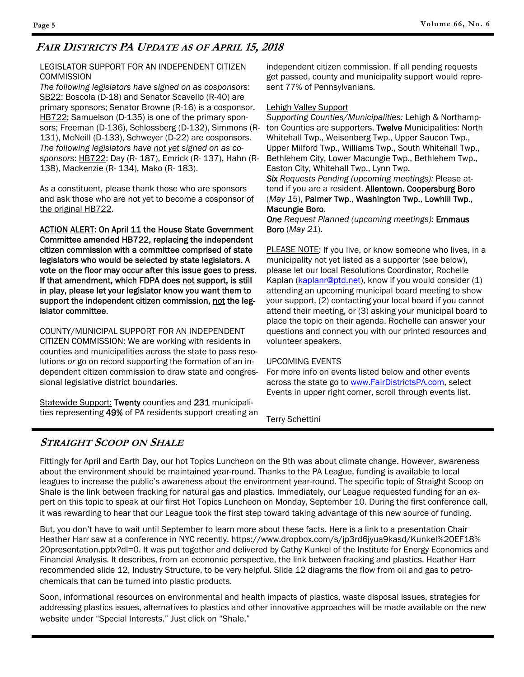## **FAIR DISTRICTS PA UPDATE AS OF APRIL 15, 2018**

#### LEGISLATOR SUPPORT FOR AN INDEPENDENT CITIZEN **COMMISSION**

*The following legislators have signed on as cosponsors*: SB22: Boscola (D-18) and Senator Scavello (R-40) are primary sponsors; Senator Browne (R-16) is a cosponsor. HB722; Samuelson (D-135) is one of the primary sponsors; Freeman (D-136), Schlossberg (D-132), Simmons (R-131), McNeill (D-133), Schweyer (D-22) are cosponsors. *The following legislators have not yet signed on as cosponsors*: HB722: Day (R- 187), Emrick (R- 137), Hahn (R-138), Mackenzie (R- 134), Mako (R- 183).

As a constituent, please thank those who are sponsors and ask those who are not yet to become a cosponsor of the original HB722.

**ACTION ALERT: On April 11 the House State Government** Committee amended HB722, replacing the independent citizen commission with a committee comprised of state legislators who would be selected by state legislators. A vote on the floor may occur after this issue goes to press. If that amendment, which FDPA does not support, is still in play, please let your legislator know you want them to support the independent citizen commission, not the legislator committee.

COUNTY/MUNICIPAL SUPPORT FOR AN INDEPENDENT

CITIZEN COMMISSION: We are working with residents in counties and municipalities across the state to pass resolutions *or* go on record supporting the formation of an independent citizen commission to draw state and congressional legislative district boundaries.

Statewide Support: Twenty counties and 231 municipalities representing 49% of PA residents support creating an

independent citizen commission. If all pending requests get passed, county and municipality support would represent 77% of Pennsylvanians.

#### Lehigh Valley Support

*Supporting Counties/Municipalities:* Lehigh & Northampton Counties are supporters. Twelve Municipalities: North Whitehall Twp., Weisenberg Twp., Upper Saucon Twp., Upper Milford Twp., Williams Twp., South Whitehall Twp., Bethlehem City, Lower Macungie Twp., Bethlehem Twp., Easton City, Whitehall Twp., Lynn Twp.

*Six Requests Pending (upcoming meetings):* Please attend if you are a resident. Allentown, Coopersburg Boro (*May 15*), Palmer Twp., Washington Twp., Lowhill Twp., Macungie Boro.

*One Request Planned (upcoming meetings):* Emmaus Boro (*May 21*).

PLEASE NOTE: If you live, or know someone who lives, in a municipality not yet listed as a supporter (see below), please let our local Resolutions Coordinator, Rochelle Kaplan (kaplanr@ptd.net), know if you would consider (1) attending an upcoming municipal board meeting to show your support, (2) contacting your local board if you cannot attend their meeting, or (3) asking your municipal board to place the topic on their agenda. Rochelle can answer your questions and connect you with our printed resources and volunteer speakers.

#### UPCOMING EVENTS

For more info on events listed below and other events across the state go to www.FairDistrictsPA.com, select Events in upper right corner, scroll through events list.

Terry Schettini

## **STRAIGHT SCOOP ON SHALE**

Fittingly for April and Earth Day, our hot Topics Luncheon on the 9th was about climate change. However, awareness about the environment should be maintained year-round. Thanks to the PA League, funding is available to local leagues to increase the public's awareness about the environment year-round. The specific topic of Straight Scoop on Shale is the link between fracking for natural gas and plastics. Immediately, our League requested funding for an expert on this topic to speak at our first Hot Topics Luncheon on Monday, September 10. During the first conference call, it was rewarding to hear that our League took the first step toward taking advantage of this new source of funding.

But, you don't have to wait until September to learn more about these facts. Here is a link to a presentation Chair Heather Harr saw at a conference in NYC recently. https://www.dropbox.com/s/jp3rd6jyua9kasd/Kunkel%20EF18% 20presentation.pptx?dl=0. It was put together and delivered by Cathy Kunkel of the Institute for Energy Economics and Financial Analysis. It describes, from an economic perspective, the link between fracking and plastics. Heather Harr recommended slide 12, Industry Structure, to be very helpful. Slide 12 diagrams the flow from oil and gas to petrochemicals that can be turned into plastic products.

Soon, informational resources on environmental and health impacts of plastics, waste disposal issues, strategies for addressing plastics issues, alternatives to plastics and other innovative approaches will be made available on the new website under "Special Interests." Just click on "Shale."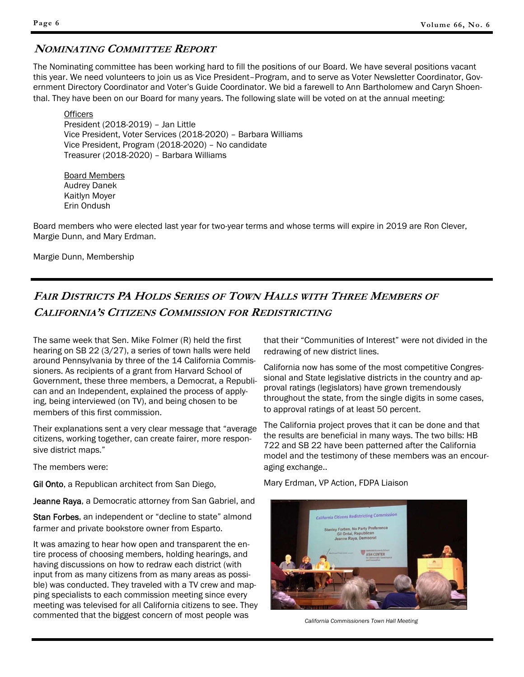## **NOMINATING COMMITTEE REPORT**

The Nominating committee has been working hard to fill the positions of our Board. We have several positions vacant this year. We need volunteers to join us as Vice President–Program, and to serve as Voter Newsletter Coordinator, Government Directory Coordinator and Voter's Guide Coordinator. We bid a farewell to Ann Bartholomew and Caryn Shoenthal. They have been on our Board for many years. The following slate will be voted on at the annual meeting:

**Officers**  President (2018-2019) – Jan Little Vice President, Voter Services (2018-2020) – Barbara Williams Vice President, Program (2018-2020) – No candidate Treasurer (2018-2020) – Barbara Williams

 Board Members Audrey Danek Kaitlyn Moyer Erin Ondush

Board members who were elected last year for two-year terms and whose terms will expire in 2019 are Ron Clever, Margie Dunn, and Mary Erdman.

Margie Dunn, Membership

# **FAIR DISTRICTS PA HOLDS SERIES OF TOWN HALLS WITH THREE MEMBERS OF CALIFORNIA'S CITIZENS COMMISSION FOR REDISTRICTING**

The same week that Sen. Mike Folmer (R) held the first hearing on SB 22 (3/27), a series of town halls were held around Pennsylvania by three of the 14 California Commissioners. As recipients of a grant from Harvard School of Government, these three members, a Democrat, a Republican and an Independent, explained the process of applying, being interviewed (on TV), and being chosen to be members of this first commission.

Their explanations sent a very clear message that "average citizens, working together, can create fairer, more responsive district maps."

The members were:

Gil Onto, a Republican architect from San Diego,

Jeanne Raya, a Democratic attorney from San Gabriel, and

Stan Forbes, an independent or "decline to state" almond farmer and private bookstore owner from Esparto.

It was amazing to hear how open and transparent the entire process of choosing members, holding hearings, and having discussions on how to redraw each district (with input from as many citizens from as many areas as possible) was conducted. They traveled with a TV crew and mapping specialists to each commission meeting since every meeting was televised for all California citizens to see. They commented that the biggest concern of most people was

that their "Communities of Interest" were not divided in the redrawing of new district lines.

California now has some of the most competitive Congressional and State legislative districts in the country and approval ratings (legislators) have grown tremendously throughout the state, from the single digits in some cases, to approval ratings of at least 50 percent.

The California project proves that it can be done and that the results are beneficial in many ways. The two bills: HB 722 and SB 22 have been patterned after the California model and the testimony of these members was an encouraging exchange..

Mary Erdman, VP Action, FDPA Liaison



*California Commissioners Town Hall Meeting*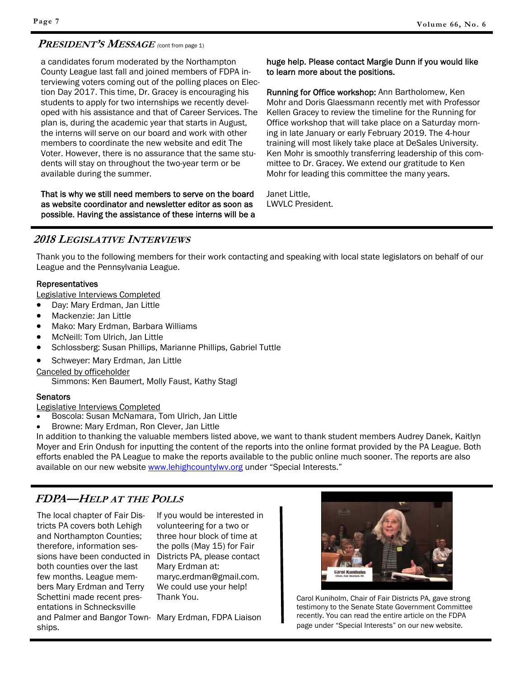## **PRESIDENT'S MESSAGE** *(*cont from page 1)

a candidates forum moderated by the Northampton County League last fall and joined members of FDPA interviewing voters coming out of the polling places on Election Day 2017. This time, Dr. Gracey is encouraging his students to apply for two internships we recently developed with his assistance and that of Career Services. The plan is, during the academic year that starts in August, the interns will serve on our board and work with other members to coordinate the new website and edit The Voter. However, there is no assurance that the same students will stay on throughout the two-year term or be available during the summer.

That is why we still need members to serve on the board as website coordinator and newsletter editor as soon as possible. Having the assistance of these interns will be a

#### huge help. Please contact Margie Dunn if you would like to learn more about the positions.

Running for Office workshop: Ann Bartholomew, Ken Mohr and Doris Glaessmann recently met with Professor Kellen Gracey to review the timeline for the Running for Office workshop that will take place on a Saturday morning in late January or early February 2019. The 4-hour training will most likely take place at DeSales University. Ken Mohr is smoothly transferring leadership of this committee to Dr. Gracey. We extend our gratitude to Ken Mohr for leading this committee the many years.

Janet Little, LWVLC President.

## **2018 LEGISLATIVE INTERVIEWS**

Thank you to the following members for their work contacting and speaking with local state legislators on behalf of our League and the Pennsylvania League.

#### Representatives

Legislative Interviews Completed

- Day: Mary Erdman, Jan Little
- Mackenzie: Jan Little
- Mako: Mary Erdman, Barbara Williams
- McNeill: Tom Ulrich, Jan Little
- Schlossberg: Susan Phillips, Marianne Phillips, Gabriel Tuttle
- Schweyer: Mary Erdman, Jan Little

Canceled by officeholder

Simmons: Ken Baumert, Molly Faust, Kathy Stagl

#### **Senators**

Legislative Interviews Completed

- Boscola: Susan McNamara, Tom Ulrich, Jan Little
- Browne: Mary Erdman, Ron Clever, Jan Little

In addition to thanking the valuable members listed above, we want to thank student members Audrey Danek, Kaitlyn Moyer and Erin Ondush for inputting the content of the reports into the online format provided by the PA League. Both efforts enabled the PA League to make the reports available to the public online much sooner. The reports are also available on our new website www.lehighcountylwv.org under "Special Interests."

# **FDPA—HELP AT THE POLLS**

The local chapter of Fair Districts PA covers both Lehigh and Northampton Counties; therefore, information sessions have been conducted in Districts PA, please contact both counties over the last few months. League members Mary Erdman and Terry Schettini made recent presentations in Schnecksville and Palmer and Bangor Town-Mary Erdman, FDPA Liaison ships.

If you would be interested in volunteering for a two or three hour block of time at the polls (May 15) for Fair Mary Erdman at: maryc.erdman@gmail.com. We could use your help! Thank You.



Carol Kuniholm, Chair of Fair Districts PA, gave strong testimony to the Senate State Government Committee recently. You can read the entire article on the FDPA page under "Special Interests" on our new website.